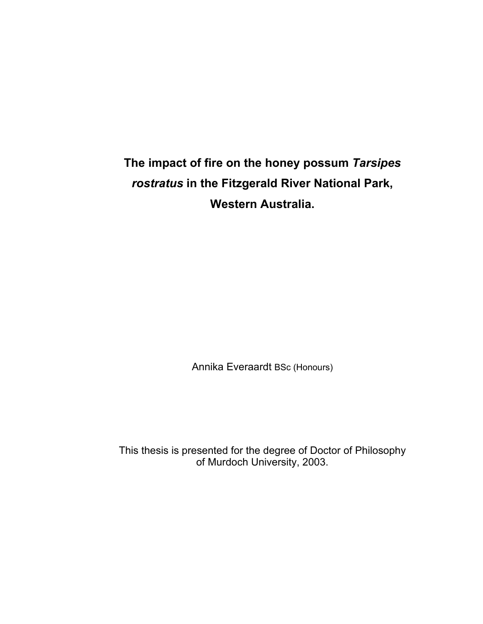**The impact of fire on the honey possum** *Tarsipes rostratus* **in the Fitzgerald River National Park, Western Australia.**

Annika Everaardt BSc (Honours)

This thesis is presented for the degree of Doctor of Philosophy of Murdoch University, 2003.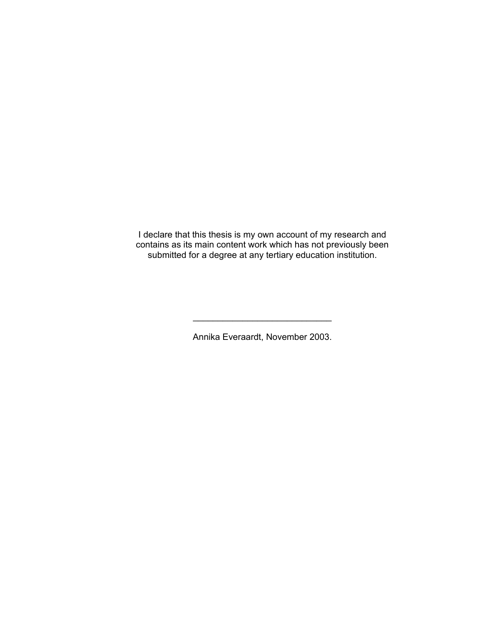I declare that this thesis is my own account of my research and contains as its main content work which has not previously been submitted for a degree at any tertiary education institution.

Annika Everaardt, November 2003.

\_\_\_\_\_\_\_\_\_\_\_\_\_\_\_\_\_\_\_\_\_\_\_\_\_\_\_\_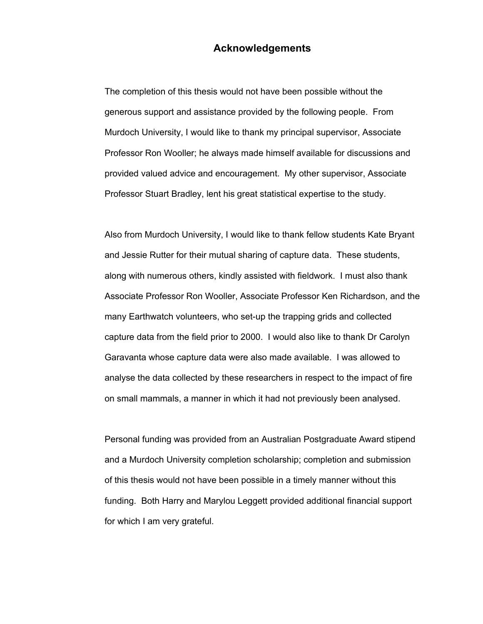#### **Acknowledgements**

The completion of this thesis would not have been possible without the generous support and assistance provided by the following people. From Murdoch University, I would like to thank my principal supervisor, Associate Professor Ron Wooller; he always made himself available for discussions and provided valued advice and encouragement. My other supervisor, Associate Professor Stuart Bradley, lent his great statistical expertise to the study.

Also from Murdoch University, I would like to thank fellow students Kate Bryant and Jessie Rutter for their mutual sharing of capture data. These students, along with numerous others, kindly assisted with fieldwork. I must also thank Associate Professor Ron Wooller, Associate Professor Ken Richardson, and the many Earthwatch volunteers, who set-up the trapping grids and collected capture data from the field prior to 2000. I would also like to thank Dr Carolyn Garavanta whose capture data were also made available. I was allowed to analyse the data collected by these researchers in respect to the impact of fire on small mammals, a manner in which it had not previously been analysed.

Personal funding was provided from an Australian Postgraduate Award stipend and a Murdoch University completion scholarship; completion and submission of this thesis would not have been possible in a timely manner without this funding. Both Harry and Marylou Leggett provided additional financial support for which I am very grateful.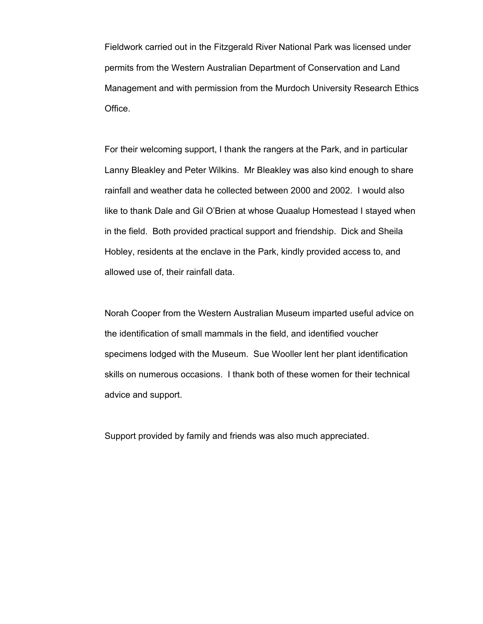Fieldwork carried out in the Fitzgerald River National Park was licensed under permits from the Western Australian Department of Conservation and Land Management and with permission from the Murdoch University Research Ethics Office.

For their welcoming support, I thank the rangers at the Park, and in particular Lanny Bleakley and Peter Wilkins. Mr Bleakley was also kind enough to share rainfall and weather data he collected between 2000 and 2002. I would also like to thank Dale and Gil O'Brien at whose Quaalup Homestead I stayed when in the field. Both provided practical support and friendship. Dick and Sheila Hobley, residents at the enclave in the Park, kindly provided access to, and allowed use of, their rainfall data.

Norah Cooper from the Western Australian Museum imparted useful advice on the identification of small mammals in the field, and identified voucher specimens lodged with the Museum. Sue Wooller lent her plant identification skills on numerous occasions. I thank both of these women for their technical advice and support.

Support provided by family and friends was also much appreciated.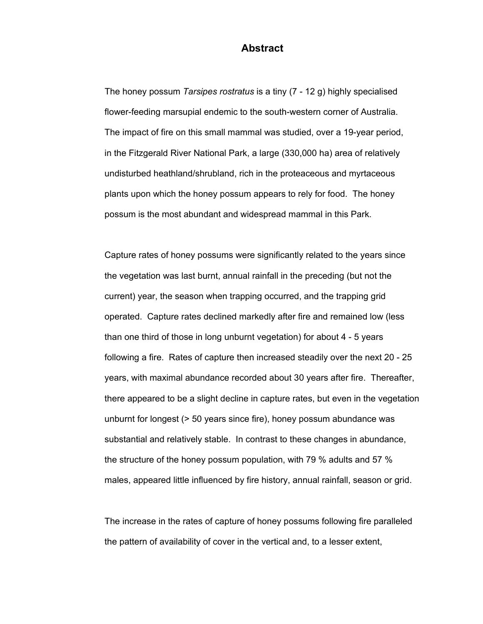#### **Abstract**

The honey possum *Tarsipes rostratus* is a tiny (7 - 12 g) highly specialised flower-feeding marsupial endemic to the south-western corner of Australia. The impact of fire on this small mammal was studied, over a 19-year period, in the Fitzgerald River National Park, a large (330,000 ha) area of relatively undisturbed heathland/shrubland, rich in the proteaceous and myrtaceous plants upon which the honey possum appears to rely for food. The honey possum is the most abundant and widespread mammal in this Park.

Capture rates of honey possums were significantly related to the years since the vegetation was last burnt, annual rainfall in the preceding (but not the current) year, the season when trapping occurred, and the trapping grid operated. Capture rates declined markedly after fire and remained low (less than one third of those in long unburnt vegetation) for about 4 - 5 years following a fire. Rates of capture then increased steadily over the next 20 - 25 years, with maximal abundance recorded about 30 years after fire. Thereafter, there appeared to be a slight decline in capture rates, but even in the vegetation unburnt for longest (> 50 years since fire), honey possum abundance was substantial and relatively stable. In contrast to these changes in abundance, the structure of the honey possum population, with 79 % adults and 57 % males, appeared little influenced by fire history, annual rainfall, season or grid.

The increase in the rates of capture of honey possums following fire paralleled the pattern of availability of cover in the vertical and, to a lesser extent,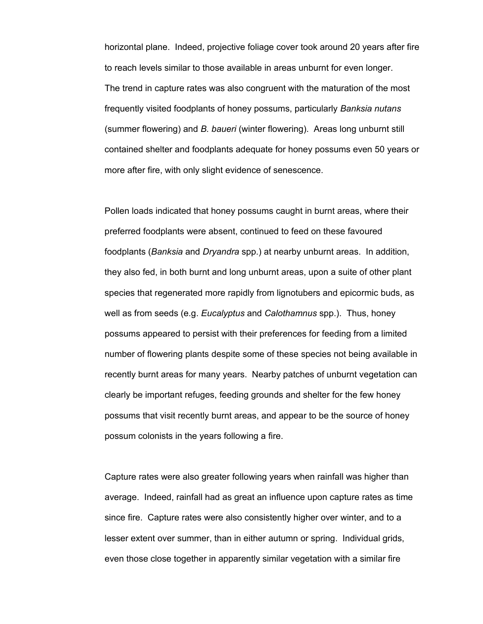horizontal plane. Indeed, projective foliage cover took around 20 years after fire to reach levels similar to those available in areas unburnt for even longer. The trend in capture rates was also congruent with the maturation of the most frequently visited foodplants of honey possums, particularly *Banksia nutans* (summer flowering) and *B. baueri* (winter flowering). Areas long unburnt still contained shelter and foodplants adequate for honey possums even 50 years or more after fire, with only slight evidence of senescence.

Pollen loads indicated that honey possums caught in burnt areas, where their preferred foodplants were absent, continued to feed on these favoured foodplants (*Banksia* and *Dryandra* spp.) at nearby unburnt areas. In addition, they also fed, in both burnt and long unburnt areas, upon a suite of other plant species that regenerated more rapidly from lignotubers and epicormic buds, as well as from seeds (e.g. *Eucalyptus* and *Calothamnus* spp.). Thus, honey possums appeared to persist with their preferences for feeding from a limited number of flowering plants despite some of these species not being available in recently burnt areas for many years. Nearby patches of unburnt vegetation can clearly be important refuges, feeding grounds and shelter for the few honey possums that visit recently burnt areas, and appear to be the source of honey possum colonists in the years following a fire.

Capture rates were also greater following years when rainfall was higher than average. Indeed, rainfall had as great an influence upon capture rates as time since fire. Capture rates were also consistently higher over winter, and to a lesser extent over summer, than in either autumn or spring. Individual grids, even those close together in apparently similar vegetation with a similar fire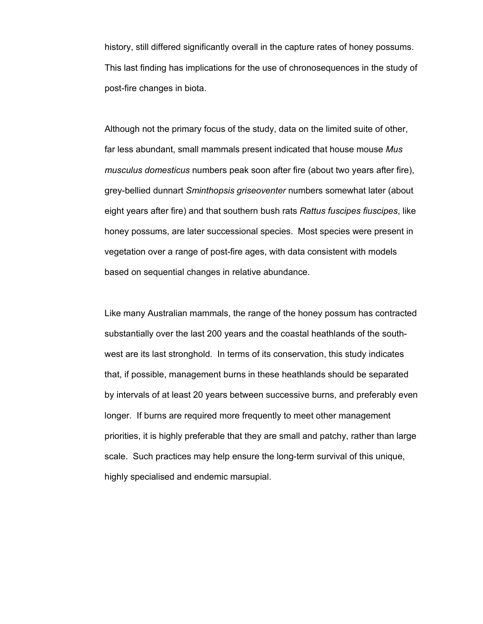history, still differed significantly overall in the capture rates of honey possums. This last finding has implications for the use of chronosequences in the study of post-fire changes in biota.

Although not the primary focus of the study, data on the limited suite of other, far less abundant, small mammals present indicated that house mouse *Mus musculus domesticus* numbers peak soon after fire (about two years after fire), grey-bellied dunnart *Sminthopsis griseoventer* numbers somewhat later (about eight years after fire) and that southern bush rats *Rattus fuscipes fiuscipes*, like honey possums, are later successional species. Most species were present in vegetation over a range of post-fire ages, with data consistent with models based on sequential changes in relative abundance.

Like many Australian mammals, the range of the honey possum has contracted substantially over the last 200 years and the coastal heathlands of the southwest are its last stronghold. In terms of its conservation, this study indicates that, if possible, management burns in these heathlands should be separated by intervals of at least 20 years between successive burns, and preferably even longer. If burns are required more frequently to meet other management priorities, it is highly preferable that they are small and patchy, rather than large scale. Such practices may help ensure the long-term survival of this unique, highly specialised and endemic marsupial.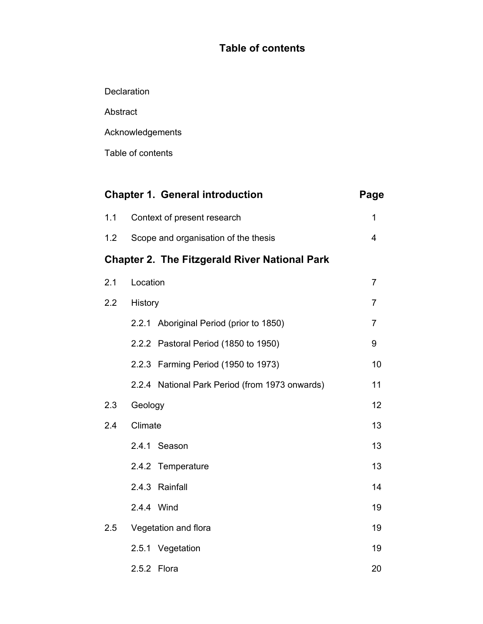# **Table of contents**

**Declaration** 

Abstract

Acknowledgements

Table of contents

|     |                                                      | <b>Chapter 1. General introduction</b>         | Page           |  |
|-----|------------------------------------------------------|------------------------------------------------|----------------|--|
| 1.1 |                                                      | Context of present research                    | 1              |  |
| 1.2 |                                                      | Scope and organisation of the thesis           | 4              |  |
|     | <b>Chapter 2. The Fitzgerald River National Park</b> |                                                |                |  |
| 2.1 | Location                                             |                                                | $\overline{7}$ |  |
| 2.2 | History                                              |                                                |                |  |
|     |                                                      | 2.2.1 Aboriginal Period (prior to 1850)        | $\overline{7}$ |  |
|     |                                                      | 2.2.2 Pastoral Period (1850 to 1950)           | 9              |  |
|     |                                                      | 2.2.3 Farming Period (1950 to 1973)            | 10             |  |
|     |                                                      | 2.2.4 National Park Period (from 1973 onwards) | 11             |  |
| 2.3 | Geology                                              |                                                | 12             |  |
| 2.4 | Climate                                              |                                                |                |  |
|     |                                                      | 2.4.1 Season                                   | 13             |  |
|     |                                                      | 2.4.2 Temperature                              | 13             |  |
|     |                                                      | 2.4.3 Rainfall                                 | 14             |  |
|     |                                                      | 2.4.4 Wind                                     | 19             |  |
| 2.5 | Vegetation and flora                                 |                                                |                |  |
|     |                                                      | 2.5.1 Vegetation                               | 19             |  |
|     |                                                      | 2.5.2 Flora                                    | 20             |  |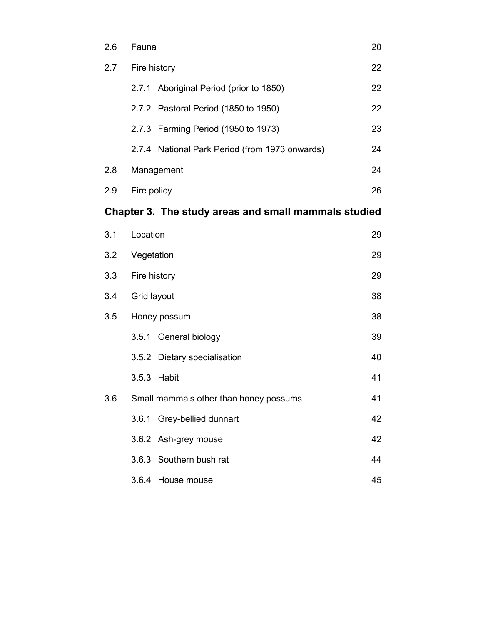| 2.6                                                  | 20<br>Fauna                                    |    |  |
|------------------------------------------------------|------------------------------------------------|----|--|
| 2.7                                                  | Fire history                                   |    |  |
|                                                      | 2.7.1 Aboriginal Period (prior to 1850)        | 22 |  |
|                                                      | 2.7.2 Pastoral Period (1850 to 1950)           | 22 |  |
|                                                      | 2.7.3 Farming Period (1950 to 1973)            | 23 |  |
|                                                      | 2.7.4 National Park Period (from 1973 onwards) | 24 |  |
| 2.8                                                  | 24<br>Management                               |    |  |
| 2.9                                                  | Fire policy<br>26                              |    |  |
| Chapter 3. The study areas and small mammals studied |                                                |    |  |
| 3.1                                                  | Location                                       | 29 |  |
| 3.2                                                  | 29<br>Vegetation                               |    |  |
| 3.3                                                  | Fire history<br>29                             |    |  |
| 3.4                                                  | Grid layout<br>38                              |    |  |
| 3.5                                                  | 38<br>Honey possum                             |    |  |
|                                                      | 3.5.1 General biology                          | 39 |  |
|                                                      | 3.5.2 Dietary specialisation                   | 40 |  |
|                                                      | 3.5.3 Habit                                    | 41 |  |
| 3.6                                                  | Small mammals other than honey possums         | 41 |  |
|                                                      | 3.6.1 Grey-bellied dunnart                     | 42 |  |
|                                                      | 3.6.2 Ash-grey mouse                           | 42 |  |
|                                                      | 3.6.3 Southern bush rat                        | 44 |  |
|                                                      | 3.6.4<br>House mouse                           | 45 |  |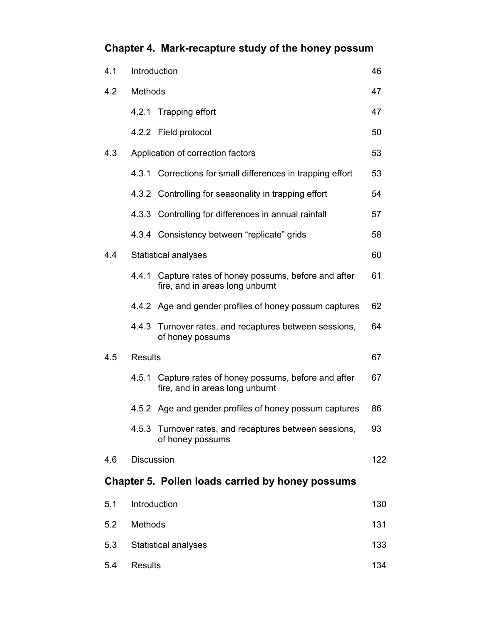# **Chapter 4. Mark-recapture study of the honey possum**

| 4.1 | Introduction      |                                                                                     | 46  |
|-----|-------------------|-------------------------------------------------------------------------------------|-----|
| 4.2 | <b>Methods</b>    |                                                                                     | 47  |
|     | 4.2.1             | Trapping effort                                                                     | 47  |
|     |                   | 4.2.2 Field protocol                                                                | 50  |
| 4.3 |                   | Application of correction factors                                                   | 53  |
|     |                   | 4.3.1 Corrections for small differences in trapping effort                          | 53  |
|     |                   | 4.3.2 Controlling for seasonality in trapping effort                                | 54  |
|     |                   | 4.3.3 Controlling for differences in annual rainfall                                | 57  |
|     |                   | 4.3.4 Consistency between "replicate" grids                                         | 58  |
| 4.4 |                   | <b>Statistical analyses</b>                                                         | 60  |
|     | 4.4.1             | Capture rates of honey possums, before and after<br>fire, and in areas long unburnt | 61  |
|     |                   | 4.4.2 Age and gender profiles of honey possum captures                              | 62  |
|     |                   | 4.4.3 Turnover rates, and recaptures between sessions,<br>of honey possums          | 64  |
| 4.5 | <b>Results</b>    |                                                                                     | 67  |
|     | 4.5.1             | Capture rates of honey possums, before and after<br>fire, and in areas long unburnt | 67  |
|     |                   | 4.5.2 Age and gender profiles of honey possum captures                              | 86  |
|     |                   | 4.5.3 Turnover rates, and recaptures between sessions,<br>of honey possums          | 93  |
| 4.6 | <b>Discussion</b> |                                                                                     | 122 |
|     |                   | Chapter 5. Pollen loads carried by honey possums                                    |     |
| 5.1 |                   | Introduction                                                                        | 130 |
| 5.2 | <b>Methods</b>    |                                                                                     | 131 |
| 5.3 |                   | <b>Statistical analyses</b>                                                         | 133 |
| 5.4 | <b>Results</b>    |                                                                                     | 134 |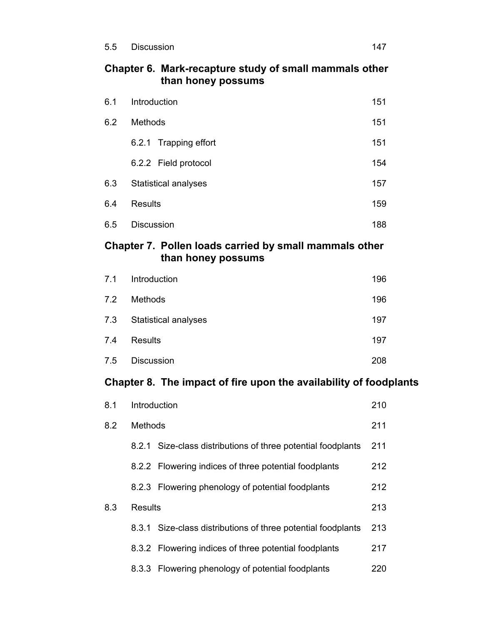## **Chapter 6. Mark-recapture study of small mammals other than honey possums**

| 6.1 | Introduction                |     |  |
|-----|-----------------------------|-----|--|
| 6.2 | <b>Methods</b>              |     |  |
|     | 6.2.1 Trapping effort       | 151 |  |
|     | 6.2.2 Field protocol        | 154 |  |
| 6.3 | <b>Statistical analyses</b> | 157 |  |
| 6.4 | <b>Results</b>              | 159 |  |
| 6.5 | <b>Discussion</b>           | 188 |  |

## **Chapter 7. Pollen loads carried by small mammals other than honey possums**

| 7.1 | Introduction                | 196 |
|-----|-----------------------------|-----|
| 7.2 | <b>Methods</b>              | 196 |
| 7.3 | <b>Statistical analyses</b> | 197 |
| 7.4 | <b>Results</b>              | 197 |
| 7.5 | <b>Discussion</b>           | 208 |

# **Chapter 8. The impact of fire upon the availability of foodplants**

| 8.1 | Introduction   |                                                        |     |
|-----|----------------|--------------------------------------------------------|-----|
| 8.2 | <b>Methods</b> |                                                        | 211 |
|     | 8.2.1          | Size-class distributions of three potential foodplants | 211 |
|     |                | 8.2.2 Flowering indices of three potential foodplants  | 212 |
|     |                | 8.2.3 Flowering phenology of potential foodplants      | 212 |
| 8.3 | Results        |                                                        | 213 |
|     | 8.3.1          | Size-class distributions of three potential foodplants | 213 |
|     |                | 8.3.2 Flowering indices of three potential foodplants  | 217 |
|     |                | 8.3.3 Flowering phenology of potential foodplants      | 220 |